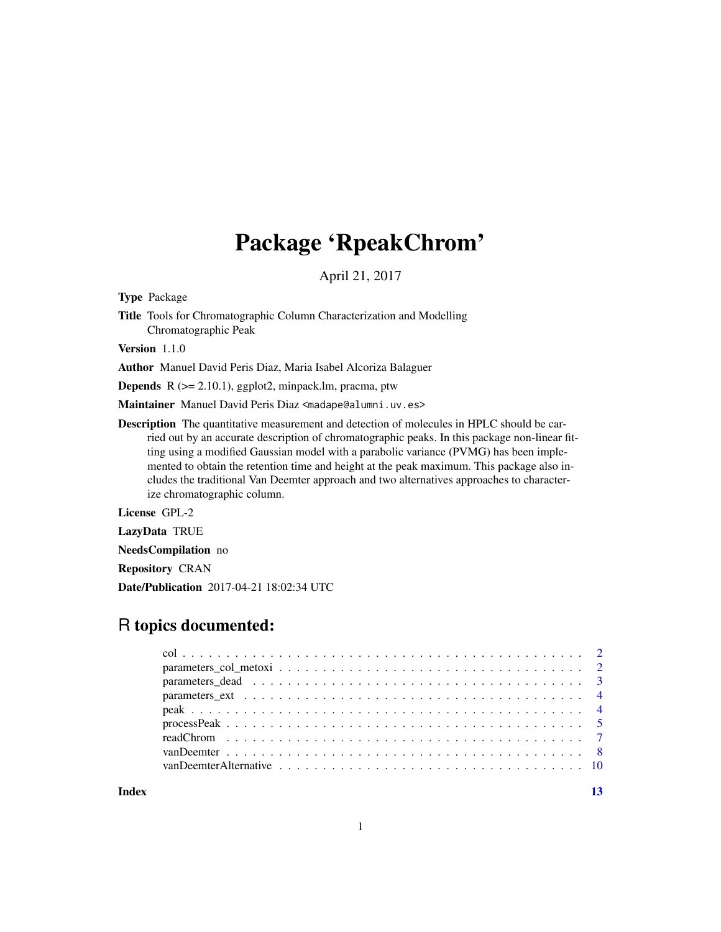## Package 'RpeakChrom'

April 21, 2017

Type Package

Title Tools for Chromatographic Column Characterization and Modelling Chromatographic Peak

Version 1.1.0

Author Manuel David Peris Diaz, Maria Isabel Alcoriza Balaguer

**Depends**  $R$  ( $>= 2.10.1$ ), ggplot2, minpack.lm, pracma, ptw

Maintainer Manuel David Peris Diaz <madape@alumni.uv.es>

Description The quantitative measurement and detection of molecules in HPLC should be carried out by an accurate description of chromatographic peaks. In this package non-linear fitting using a modified Gaussian model with a parabolic variance (PVMG) has been implemented to obtain the retention time and height at the peak maximum. This package also includes the traditional Van Deemter approach and two alternatives approaches to characterize chromatographic column.

License GPL-2

LazyData TRUE

NeedsCompilation no

Repository CRAN

Date/Publication 2017-04-21 18:02:34 UTC

### R topics documented:

**Index** [13](#page-12-0)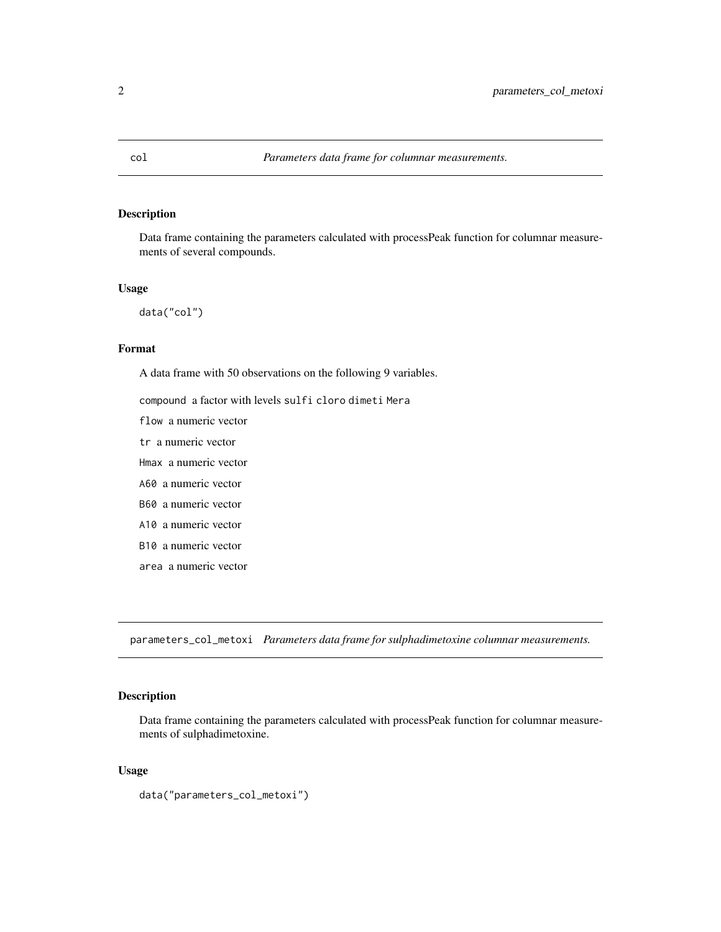#### <span id="page-1-0"></span>Description

Data frame containing the parameters calculated with processPeak function for columnar measurements of several compounds.

#### Usage

data("col")

#### Format

A data frame with 50 observations on the following 9 variables.

compound a factor with levels sulfi cloro dimeti Mera

flow a numeric vector

tr a numeric vector

Hmax a numeric vector

A60 a numeric vector

B60 a numeric vector

A10 a numeric vector

B10 a numeric vector

area a numeric vector

parameters\_col\_metoxi *Parameters data frame for sulphadimetoxine columnar measurements.*

#### Description

Data frame containing the parameters calculated with processPeak function for columnar measurements of sulphadimetoxine.

#### Usage

data("parameters\_col\_metoxi")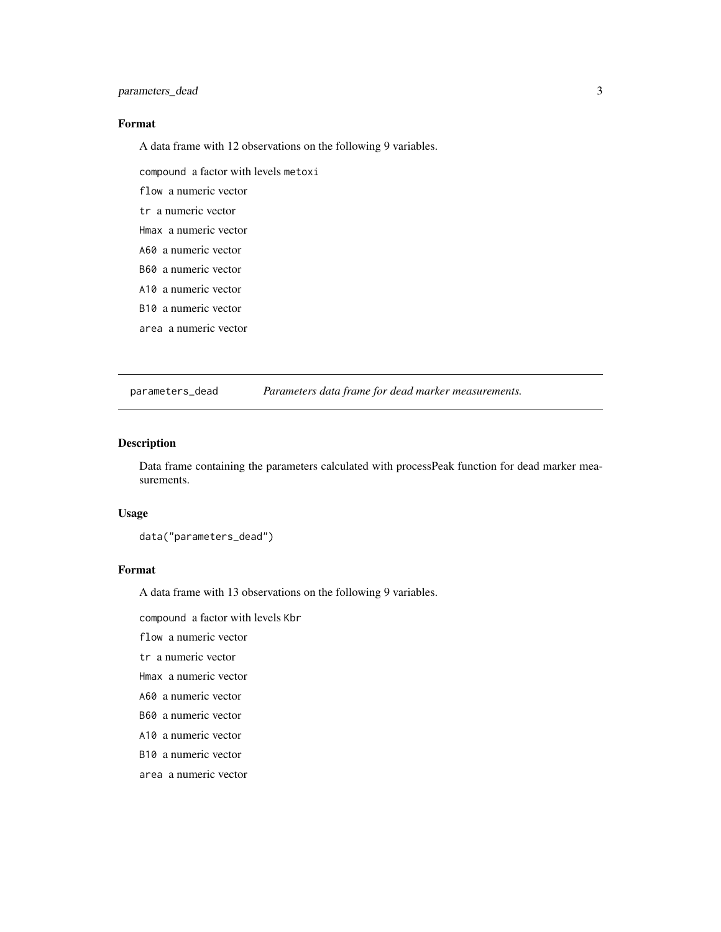#### <span id="page-2-0"></span>Format

A data frame with 12 observations on the following 9 variables.

compound a factor with levels metoxi

flow a numeric vector

tr a numeric vector

Hmax a numeric vector

A60 a numeric vector

B60 a numeric vector

A10 a numeric vector

B10 a numeric vector

area a numeric vector

parameters\_dead *Parameters data frame for dead marker measurements.*

#### Description

Data frame containing the parameters calculated with processPeak function for dead marker measurements.

#### Usage

data("parameters\_dead")

#### Format

A data frame with 13 observations on the following 9 variables.

compound a factor with levels Kbr

flow a numeric vector

tr a numeric vector

Hmax a numeric vector

A60 a numeric vector

B60 a numeric vector

A10 a numeric vector

B10 a numeric vector

area a numeric vector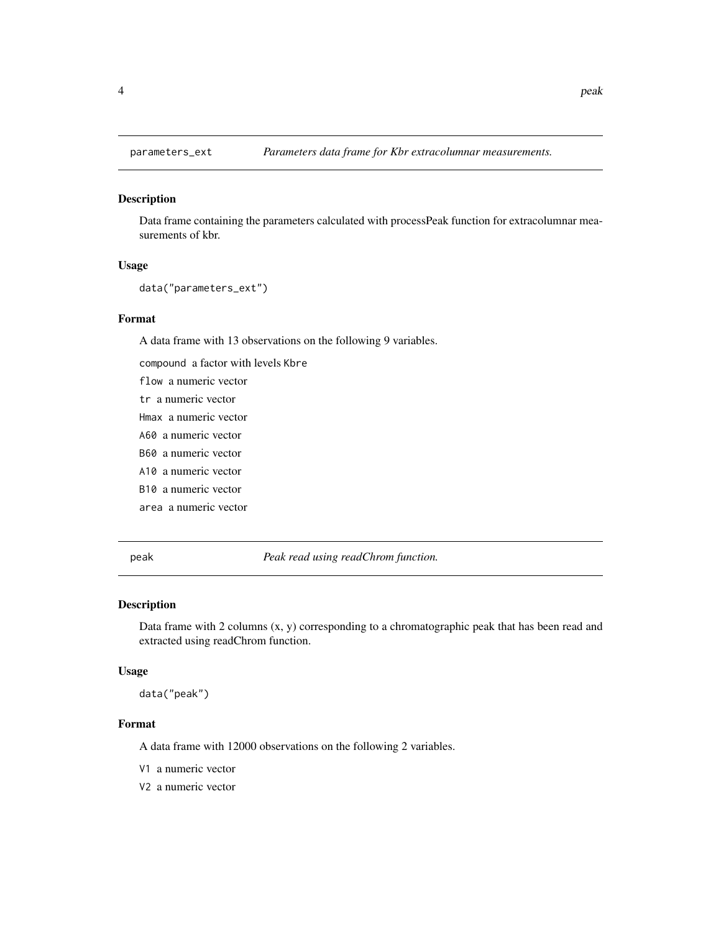<span id="page-3-0"></span>

#### Description

Data frame containing the parameters calculated with processPeak function for extracolumnar measurements of kbr.

#### Usage

```
data("parameters_ext")
```
#### Format

A data frame with 13 observations on the following 9 variables.

compound a factor with levels Kbre

flow a numeric vector tr a numeric vector Hmax a numeric vector A60 a numeric vector B60 a numeric vector A10 a numeric vector B10 a numeric vector area a numeric vector

peak *Peak read using readChrom function.*

#### Description

Data frame with 2 columns (x, y) corresponding to a chromatographic peak that has been read and extracted using readChrom function.

#### Usage

data("peak")

#### Format

A data frame with 12000 observations on the following 2 variables.

- V1 a numeric vector
- V2 a numeric vector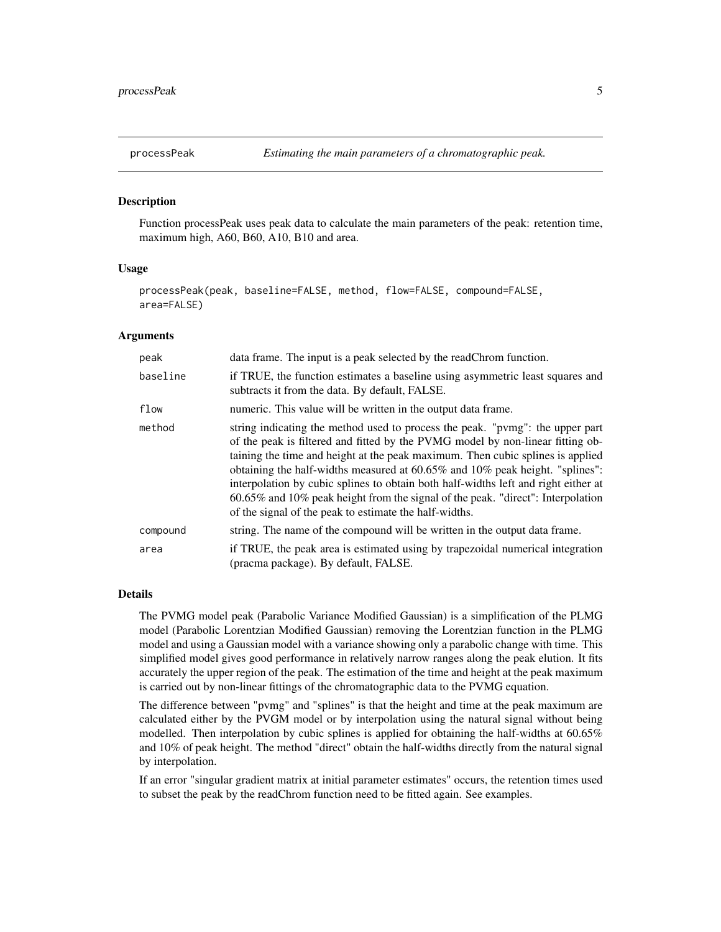<span id="page-4-1"></span><span id="page-4-0"></span>

#### Description

Function processPeak uses peak data to calculate the main parameters of the peak: retention time, maximum high, A60, B60, A10, B10 and area.

#### Usage

```
processPeak(peak, baseline=FALSE, method, flow=FALSE, compound=FALSE,
area=FALSE)
```
#### Arguments

| peak     | data frame. The input is a peak selected by the readChrom function.                                                                                                                                                                                                                                                                                                                                                                                                                                                                                                  |
|----------|----------------------------------------------------------------------------------------------------------------------------------------------------------------------------------------------------------------------------------------------------------------------------------------------------------------------------------------------------------------------------------------------------------------------------------------------------------------------------------------------------------------------------------------------------------------------|
| baseline | if TRUE, the function estimates a baseline using asymmetric least squares and<br>subtracts it from the data. By default, FALSE.                                                                                                                                                                                                                                                                                                                                                                                                                                      |
| flow     | numeric. This value will be written in the output data frame.                                                                                                                                                                                                                                                                                                                                                                                                                                                                                                        |
| method   | string indicating the method used to process the peak. "pvmg": the upper part<br>of the peak is filtered and fitted by the PVMG model by non-linear fitting ob-<br>taining the time and height at the peak maximum. Then cubic splines is applied<br>obtaining the half-widths measured at 60.65% and 10% peak height. "splines":<br>interpolation by cubic splines to obtain both half-widths left and right either at<br>60.65% and 10% peak height from the signal of the peak. "direct": Interpolation<br>of the signal of the peak to estimate the half-widths. |
| compound | string. The name of the compound will be written in the output data frame.                                                                                                                                                                                                                                                                                                                                                                                                                                                                                           |
| area     | if TRUE, the peak area is estimated using by trapezoidal numerical integration<br>(pracma package). By default, FALSE.                                                                                                                                                                                                                                                                                                                                                                                                                                               |

#### Details

The PVMG model peak (Parabolic Variance Modified Gaussian) is a simplification of the PLMG model (Parabolic Lorentzian Modified Gaussian) removing the Lorentzian function in the PLMG model and using a Gaussian model with a variance showing only a parabolic change with time. This simplified model gives good performance in relatively narrow ranges along the peak elution. It fits accurately the upper region of the peak. The estimation of the time and height at the peak maximum is carried out by non-linear fittings of the chromatographic data to the PVMG equation.

The difference between "pvmg" and "splines" is that the height and time at the peak maximum are calculated either by the PVGM model or by interpolation using the natural signal without being modelled. Then interpolation by cubic splines is applied for obtaining the half-widths at 60.65% and 10% of peak height. The method "direct" obtain the half-widths directly from the natural signal by interpolation.

If an error "singular gradient matrix at initial parameter estimates" occurs, the retention times used to subset the peak by the readChrom function need to be fitted again. See examples.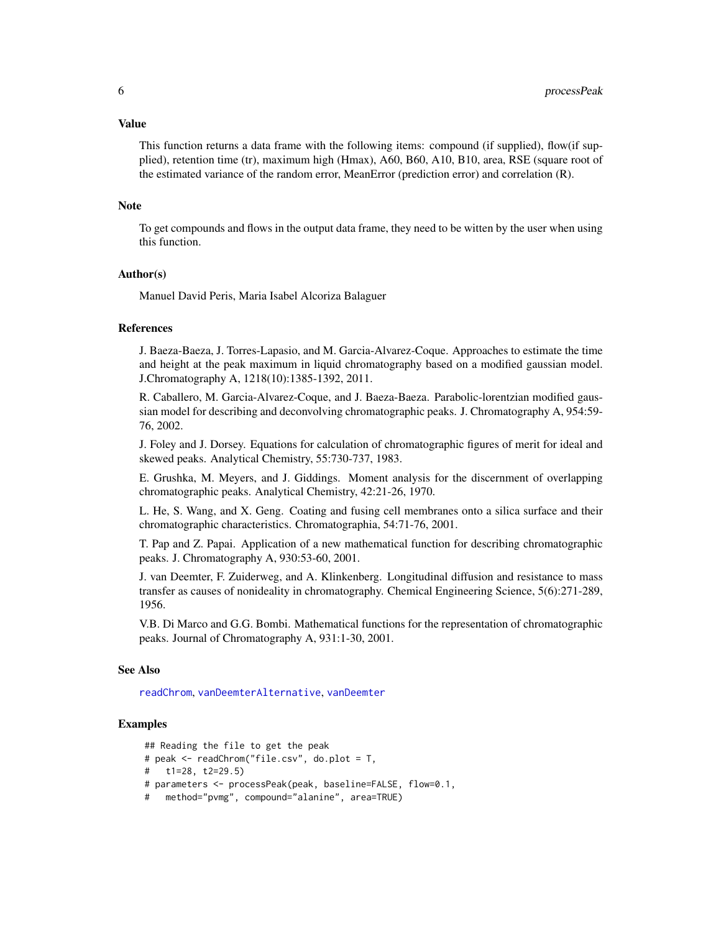#### <span id="page-5-0"></span>Value

This function returns a data frame with the following items: compound (if supplied), flow(if supplied), retention time (tr), maximum high (Hmax), A60, B60, A10, B10, area, RSE (square root of the estimated variance of the random error, MeanError (prediction error) and correlation (R).

#### **Note**

To get compounds and flows in the output data frame, they need to be witten by the user when using this function.

#### Author(s)

Manuel David Peris, Maria Isabel Alcoriza Balaguer

#### References

J. Baeza-Baeza, J. Torres-Lapasio, and M. Garcia-Alvarez-Coque. Approaches to estimate the time and height at the peak maximum in liquid chromatography based on a modified gaussian model. J.Chromatography A, 1218(10):1385-1392, 2011.

R. Caballero, M. Garcia-Alvarez-Coque, and J. Baeza-Baeza. Parabolic-lorentzian modified gaussian model for describing and deconvolving chromatographic peaks. J. Chromatography A, 954:59- 76, 2002.

J. Foley and J. Dorsey. Equations for calculation of chromatographic figures of merit for ideal and skewed peaks. Analytical Chemistry, 55:730-737, 1983.

E. Grushka, M. Meyers, and J. Giddings. Moment analysis for the discernment of overlapping chromatographic peaks. Analytical Chemistry, 42:21-26, 1970.

L. He, S. Wang, and X. Geng. Coating and fusing cell membranes onto a silica surface and their chromatographic characteristics. Chromatographia, 54:71-76, 2001.

T. Pap and Z. Papai. Application of a new mathematical function for describing chromatographic peaks. J. Chromatography A, 930:53-60, 2001.

J. van Deemter, F. Zuiderweg, and A. Klinkenberg. Longitudinal diffusion and resistance to mass transfer as causes of nonideality in chromatography. Chemical Engineering Science, 5(6):271-289, 1956.

V.B. Di Marco and G.G. Bombi. Mathematical functions for the representation of chromatographic peaks. Journal of Chromatography A, 931:1-30, 2001.

#### See Also

[readChrom](#page-6-1), [vanDeemterAlternative](#page-9-1), [vanDeemter](#page-7-1)

#### **Examples**

```
## Reading the file to get the peak
# peak <- readChrom("file.csv", do.plot = T,
# t1=28, t2=29.5)
# parameters <- processPeak(peak, baseline=FALSE, flow=0.1,
# method="pvmg", compound="alanine", area=TRUE)
```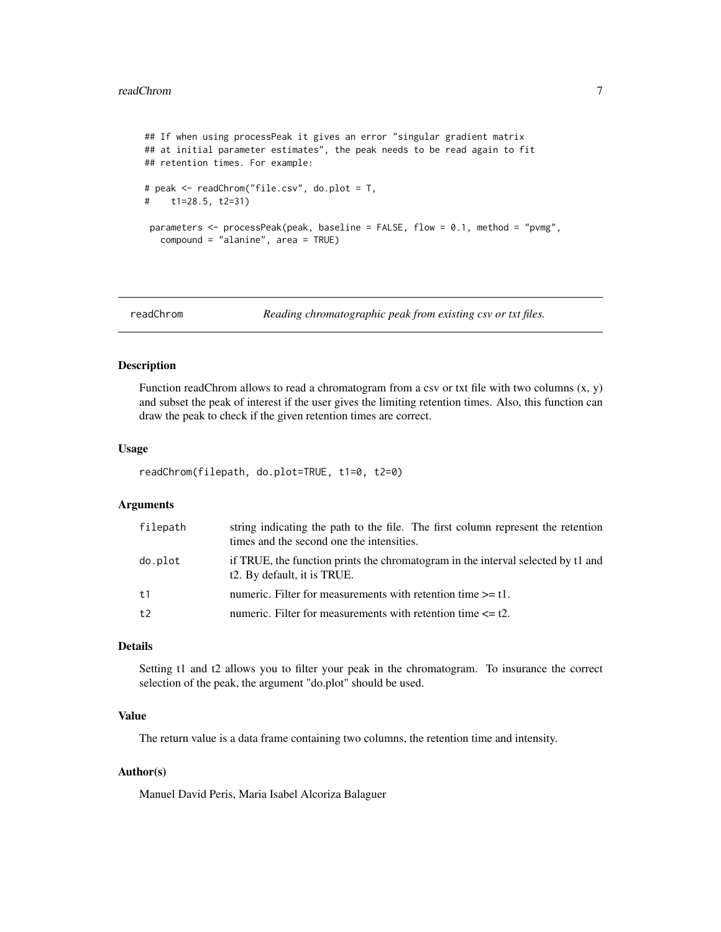```
## If when using processPeak it gives an error "singular gradient matrix
## at initial parameter estimates", the peak needs to be read again to fit
## retention times. For example:
# peak <- readChrom("file.csv", do.plot = T,
# t1=28.5, t2=31)
 parameters <- processPeak(peak, baseline = FALSE, flow = 0.1, method = "pvmg",
   compound = "alanine", area = TRUE)
```
<span id="page-6-1"></span>readChrom *Reading chromatographic peak from existing csv or txt files.*

#### Description

Function readChrom allows to read a chromatogram from a csv or txt file with two columns  $(x, y)$ and subset the peak of interest if the user gives the limiting retention times. Also, this function can draw the peak to check if the given retention times are correct.

#### Usage

```
readChrom(filepath, do.plot=TRUE, t1=0, t2=0)
```
#### Arguments

| filepath       | string indicating the path to the file. The first column represent the retention<br>times and the second one the intensities. |
|----------------|-------------------------------------------------------------------------------------------------------------------------------|
| do.plot        | if TRUE, the function prints the chromatogram in the interval selected by t1 and<br>t2. By default, it is TRUE.               |
| t <sub>1</sub> | numeric. Filter for measurements with retention time $\geq 1$ .                                                               |
| t2             | numeric. Filter for measurements with retention time $\leq 12$ .                                                              |

#### Details

Setting t1 and t2 allows you to filter your peak in the chromatogram. To insurance the correct selection of the peak, the argument "do.plot" should be used.

#### Value

The return value is a data frame containing two columns, the retention time and intensity.

#### Author(s)

Manuel David Peris, Maria Isabel Alcoriza Balaguer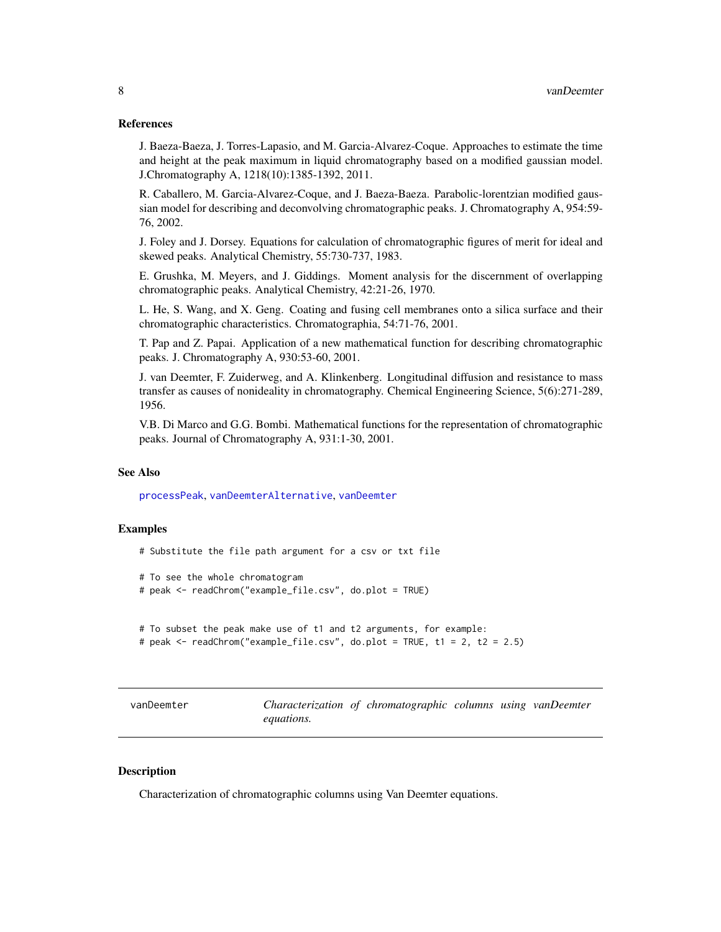#### <span id="page-7-0"></span>References

J. Baeza-Baeza, J. Torres-Lapasio, and M. Garcia-Alvarez-Coque. Approaches to estimate the time and height at the peak maximum in liquid chromatography based on a modified gaussian model. J.Chromatography A, 1218(10):1385-1392, 2011.

R. Caballero, M. Garcia-Alvarez-Coque, and J. Baeza-Baeza. Parabolic-lorentzian modified gaussian model for describing and deconvolving chromatographic peaks. J. Chromatography A, 954:59- 76, 2002.

J. Foley and J. Dorsey. Equations for calculation of chromatographic figures of merit for ideal and skewed peaks. Analytical Chemistry, 55:730-737, 1983.

E. Grushka, M. Meyers, and J. Giddings. Moment analysis for the discernment of overlapping chromatographic peaks. Analytical Chemistry, 42:21-26, 1970.

L. He, S. Wang, and X. Geng. Coating and fusing cell membranes onto a silica surface and their chromatographic characteristics. Chromatographia, 54:71-76, 2001.

T. Pap and Z. Papai. Application of a new mathematical function for describing chromatographic peaks. J. Chromatography A, 930:53-60, 2001.

J. van Deemter, F. Zuiderweg, and A. Klinkenberg. Longitudinal diffusion and resistance to mass transfer as causes of nonideality in chromatography. Chemical Engineering Science, 5(6):271-289, 1956.

V.B. Di Marco and G.G. Bombi. Mathematical functions for the representation of chromatographic peaks. Journal of Chromatography A, 931:1-30, 2001.

#### See Also

[processPeak](#page-4-1), [vanDeemterAlternative](#page-9-1), [vanDeemter](#page-7-1)

#### Examples

# Substitute the file path argument for a csv or txt file

```
# To see the whole chromatogram
# peak <- readChrom("example_file.csv", do.plot = TRUE)
```

```
# To subset the peak make use of t1 and t2 arguments, for example:
# peak <- readChrom("example_file.csv", do.plot = TRUE, t1 = 2, t2 = 2.5)
```
<span id="page-7-1"></span>

| vanDeemter |            | Characterization of chromatographic columns using vanDeemter |  |  |
|------------|------------|--------------------------------------------------------------|--|--|
|            | equations. |                                                              |  |  |

#### **Description**

Characterization of chromatographic columns using Van Deemter equations.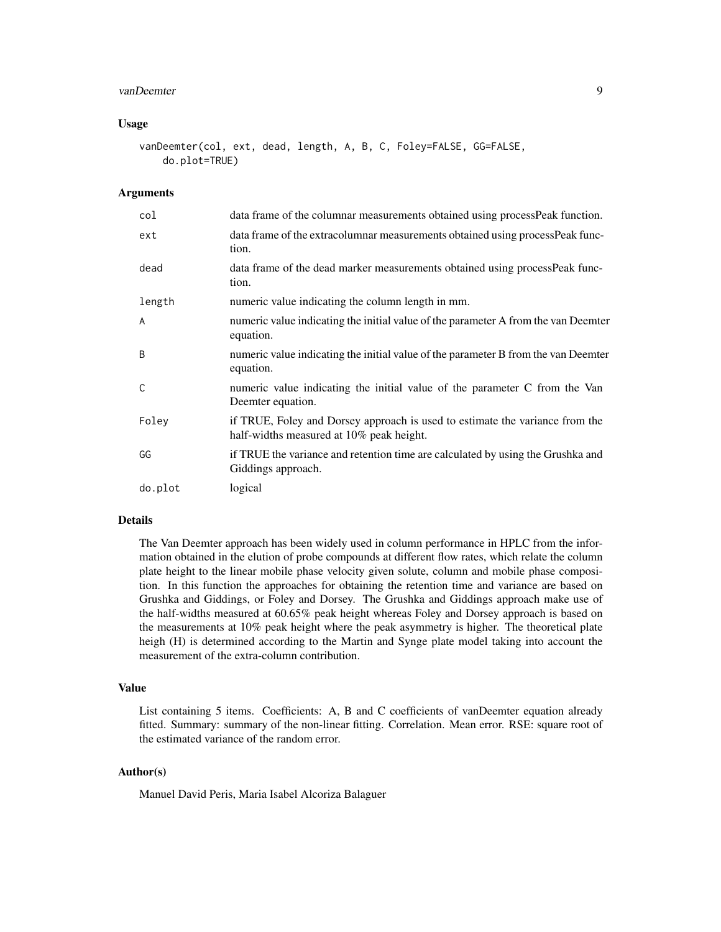#### vanDeemter 9

#### Usage

```
vanDeemter(col, ext, dead, length, A, B, C, Foley=FALSE, GG=FALSE,
    do.plot=TRUE)
```
#### Arguments

| col          | data frame of the columnar measurements obtained using process Peak function.                                            |
|--------------|--------------------------------------------------------------------------------------------------------------------------|
| ext          | data frame of the extracolumnar measurements obtained using process Peak func-<br>tion.                                  |
| dead         | data frame of the dead marker measurements obtained using processPeak func-<br>tion.                                     |
| length       | numeric value indicating the column length in mm.                                                                        |
| $\mathsf{A}$ | numeric value indicating the initial value of the parameter A from the van Deemter<br>equation.                          |
| B            | numeric value indicating the initial value of the parameter B from the van Deemter<br>equation.                          |
| C            | numeric value indicating the initial value of the parameter C from the Van<br>Deemter equation.                          |
| Foley        | if TRUE, Foley and Dorsey approach is used to estimate the variance from the<br>half-widths measured at 10% peak height. |
| GG           | if TRUE the variance and retention time are calculated by using the Grushka and<br>Giddings approach.                    |
| do.plot      | logical                                                                                                                  |

#### Details

The Van Deemter approach has been widely used in column performance in HPLC from the information obtained in the elution of probe compounds at different flow rates, which relate the column plate height to the linear mobile phase velocity given solute, column and mobile phase composition. In this function the approaches for obtaining the retention time and variance are based on Grushka and Giddings, or Foley and Dorsey. The Grushka and Giddings approach make use of the half-widths measured at 60.65% peak height whereas Foley and Dorsey approach is based on the measurements at 10% peak height where the peak asymmetry is higher. The theoretical plate heigh (H) is determined according to the Martin and Synge plate model taking into account the measurement of the extra-column contribution.

#### Value

List containing 5 items. Coefficients: A, B and C coefficients of vanDeemter equation already fitted. Summary: summary of the non-linear fitting. Correlation. Mean error. RSE: square root of the estimated variance of the random error.

#### Author(s)

Manuel David Peris, Maria Isabel Alcoriza Balaguer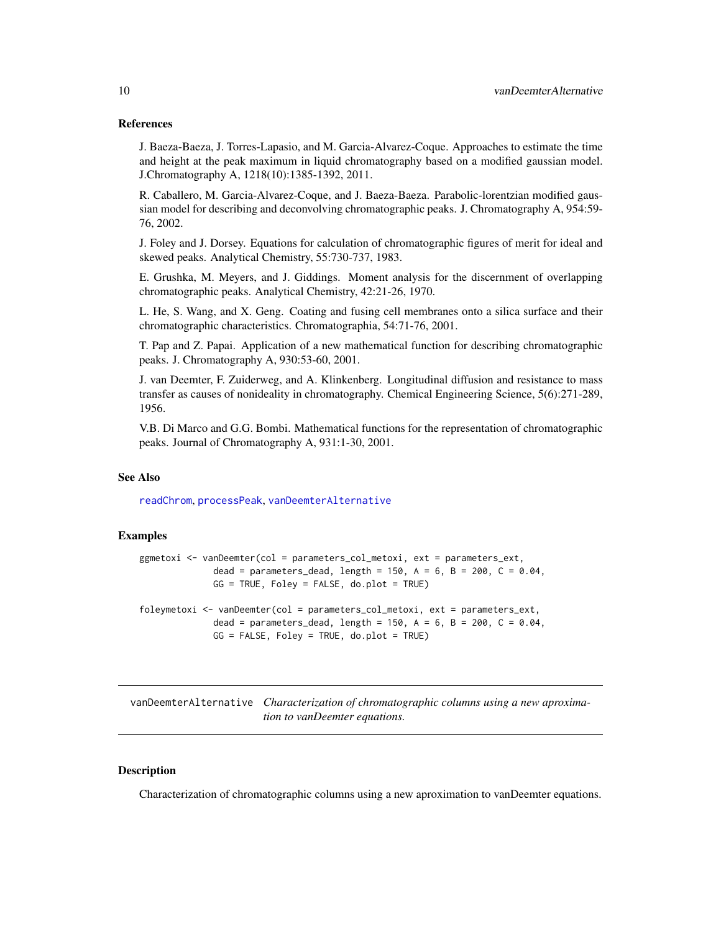#### <span id="page-9-0"></span>References

J. Baeza-Baeza, J. Torres-Lapasio, and M. Garcia-Alvarez-Coque. Approaches to estimate the time and height at the peak maximum in liquid chromatography based on a modified gaussian model. J.Chromatography A, 1218(10):1385-1392, 2011.

R. Caballero, M. Garcia-Alvarez-Coque, and J. Baeza-Baeza. Parabolic-lorentzian modified gaussian model for describing and deconvolving chromatographic peaks. J. Chromatography A, 954:59- 76, 2002.

J. Foley and J. Dorsey. Equations for calculation of chromatographic figures of merit for ideal and skewed peaks. Analytical Chemistry, 55:730-737, 1983.

E. Grushka, M. Meyers, and J. Giddings. Moment analysis for the discernment of overlapping chromatographic peaks. Analytical Chemistry, 42:21-26, 1970.

L. He, S. Wang, and X. Geng. Coating and fusing cell membranes onto a silica surface and their chromatographic characteristics. Chromatographia, 54:71-76, 2001.

T. Pap and Z. Papai. Application of a new mathematical function for describing chromatographic peaks. J. Chromatography A, 930:53-60, 2001.

J. van Deemter, F. Zuiderweg, and A. Klinkenberg. Longitudinal diffusion and resistance to mass transfer as causes of nonideality in chromatography. Chemical Engineering Science, 5(6):271-289, 1956.

V.B. Di Marco and G.G. Bombi. Mathematical functions for the representation of chromatographic peaks. Journal of Chromatography A, 931:1-30, 2001.

#### See Also

[readChrom](#page-6-1), [processPeak](#page-4-1), [vanDeemterAlternative](#page-9-1)

#### Examples

```
ggmetoxi <- vanDeemter(col = parameters_col_metoxi, ext = parameters_ext,
              dead = parameters_dead, length = 150, A = 6, B = 200, C = 0.04,
             GG = TRUE, Foley = FALSE, do.plot = TRUE)
foleymetoxi <- vanDeemter(col = parameters_col_metoxi, ext = parameters_ext,
             dead = parameters_dead, length = 150, A = 6, B = 200, C = 0.04,
             GG = FALSE, Foley = TRUE, do.plot = TRUE)
```
<span id="page-9-1"></span>vanDeemterAlternative *Characterization of chromatographic columns using a new aproximation to vanDeemter equations.*

#### Description

Characterization of chromatographic columns using a new aproximation to vanDeemter equations.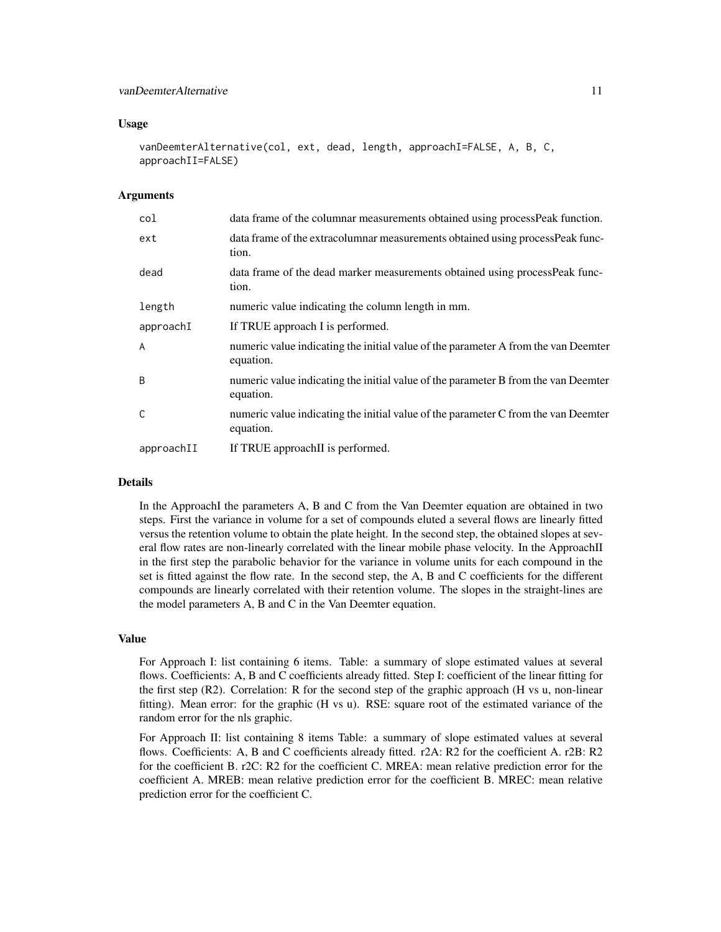#### Usage

```
vanDeemterAlternative(col, ext, dead, length, approachI=FALSE, A, B, C,
approachII=FALSE)
```
#### Arguments

| col          | data frame of the columnar measurements obtained using process Peak function.                   |
|--------------|-------------------------------------------------------------------------------------------------|
| ext          | data frame of the extracolumnar measurements obtained using process Peak func-<br>tion.         |
| dead         | data frame of the dead marker measurements obtained using process Peak func-<br>tion.           |
| length       | numeric value indicating the column length in mm.                                               |
| approachI    | If TRUE approach I is performed.                                                                |
| A            | numeric value indicating the initial value of the parameter A from the van Deemter<br>equation. |
| <sub>B</sub> | numeric value indicating the initial value of the parameter B from the van Deemter<br>equation. |
| C            | numeric value indicating the initial value of the parameter C from the van Deemter<br>equation. |
| approachII   | If TRUE approachII is performed.                                                                |

#### **Details**

In the ApproachI the parameters A, B and C from the Van Deemter equation are obtained in two steps. First the variance in volume for a set of compounds eluted a several flows are linearly fitted versus the retention volume to obtain the plate height. In the second step, the obtained slopes at several flow rates are non-linearly correlated with the linear mobile phase velocity. In the ApproachII in the first step the parabolic behavior for the variance in volume units for each compound in the set is fitted against the flow rate. In the second step, the A, B and C coefficients for the different compounds are linearly correlated with their retention volume. The slopes in the straight-lines are the model parameters A, B and C in the Van Deemter equation.

#### Value

For Approach I: list containing 6 items. Table: a summary of slope estimated values at several flows. Coefficients: A, B and C coefficients already fitted. Step I: coefficient of the linear fitting for the first step (R2). Correlation: R for the second step of the graphic approach (H vs u, non-linear fitting). Mean error: for the graphic (H vs u). RSE: square root of the estimated variance of the random error for the nls graphic.

For Approach II: list containing 8 items Table: a summary of slope estimated values at several flows. Coefficients: A, B and C coefficients already fitted. r2A: R2 for the coefficient A. r2B: R2 for the coefficient B. r2C: R2 for the coefficient C. MREA: mean relative prediction error for the coefficient A. MREB: mean relative prediction error for the coefficient B. MREC: mean relative prediction error for the coefficient C.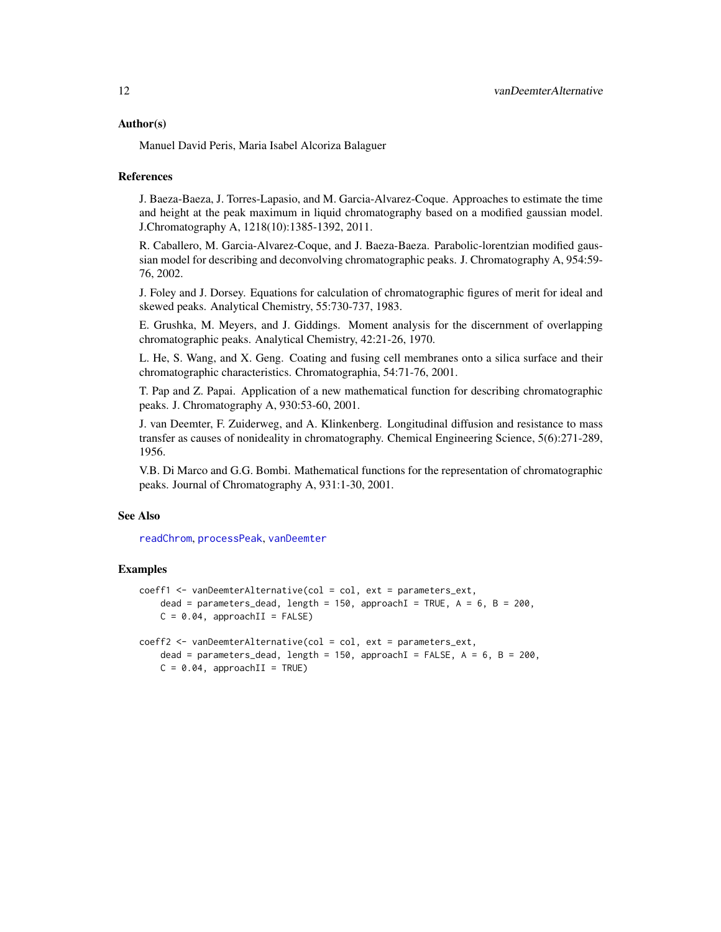#### <span id="page-11-0"></span>Author(s)

Manuel David Peris, Maria Isabel Alcoriza Balaguer

#### References

J. Baeza-Baeza, J. Torres-Lapasio, and M. Garcia-Alvarez-Coque. Approaches to estimate the time and height at the peak maximum in liquid chromatography based on a modified gaussian model. J.Chromatography A, 1218(10):1385-1392, 2011.

R. Caballero, M. Garcia-Alvarez-Coque, and J. Baeza-Baeza. Parabolic-lorentzian modified gaussian model for describing and deconvolving chromatographic peaks. J. Chromatography A, 954:59- 76, 2002.

J. Foley and J. Dorsey. Equations for calculation of chromatographic figures of merit for ideal and skewed peaks. Analytical Chemistry, 55:730-737, 1983.

E. Grushka, M. Meyers, and J. Giddings. Moment analysis for the discernment of overlapping chromatographic peaks. Analytical Chemistry, 42:21-26, 1970.

L. He, S. Wang, and X. Geng. Coating and fusing cell membranes onto a silica surface and their chromatographic characteristics. Chromatographia, 54:71-76, 2001.

T. Pap and Z. Papai. Application of a new mathematical function for describing chromatographic peaks. J. Chromatography A, 930:53-60, 2001.

J. van Deemter, F. Zuiderweg, and A. Klinkenberg. Longitudinal diffusion and resistance to mass transfer as causes of nonideality in chromatography. Chemical Engineering Science, 5(6):271-289, 1956.

V.B. Di Marco and G.G. Bombi. Mathematical functions for the representation of chromatographic peaks. Journal of Chromatography A, 931:1-30, 2001.

#### See Also

[readChrom](#page-6-1), [processPeak](#page-4-1), [vanDeemter](#page-7-1)

#### Examples

```
coeff1 <- vanDeemterAlternative(col = col, ext = parameters_ext,
    dead = parameters_dead, length = 150, approachI = TRUE, A = 6, B = 200,
   C = 0.04, approachII = FALSE)
coeff2 <- vanDeemterAlternative(col = col, ext = parameters_ext,
    dead = parameters_dead, length = 150, approachI = FALSE, A = 6, B = 200,
   C = 0.04, approachII = TRUE)
```